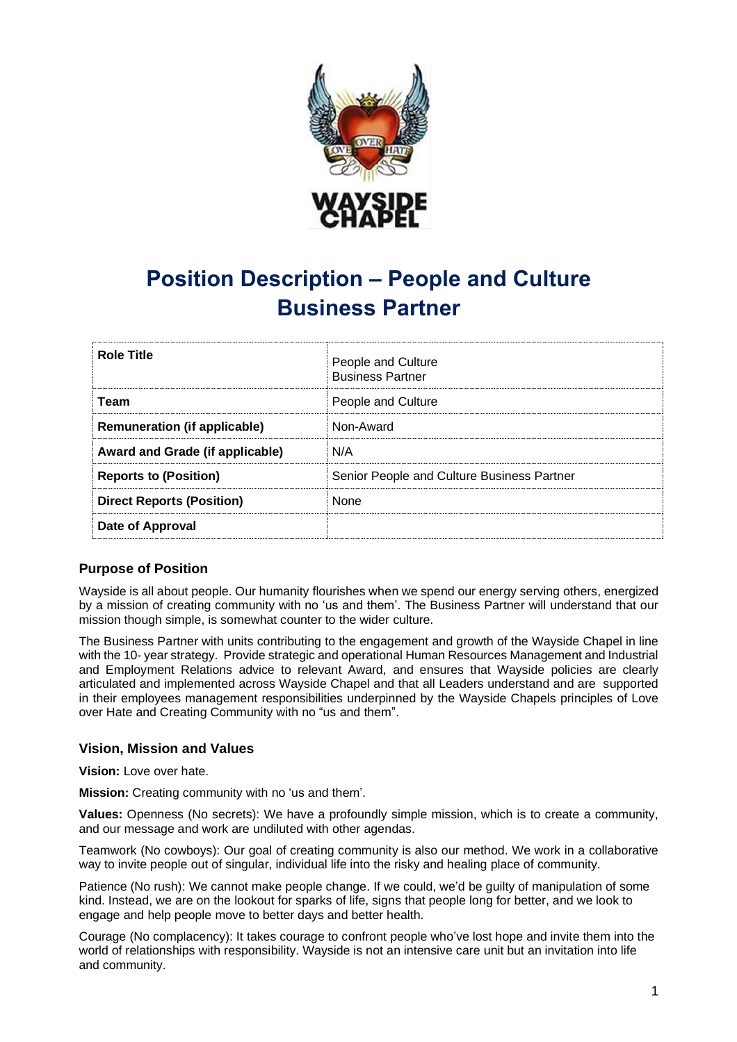

# **Position Description – People and Culture Business Partner**

| <b>Role Title</b>                   | People and Culture<br><b>Business Partner</b> |
|-------------------------------------|-----------------------------------------------|
| Team                                | People and Culture                            |
| <b>Remuneration (if applicable)</b> | Non-Award                                     |
| Award and Grade (if applicable)     | N/A                                           |
| <b>Reports to (Position)</b>        | Senior People and Culture Business Partner    |
| <b>Direct Reports (Position)</b>    | <b>None</b>                                   |
| Date of Approval                    |                                               |

# **Purpose of Position**

Wayside is all about people. Our humanity flourishes when we spend our energy serving others, energized by a mission of creating community with no 'us and them'. The Business Partner will understand that our mission though simple, is somewhat counter to the wider culture.

The Business Partner with units contributing to the engagement and growth of the Wayside Chapel in line with the 10- year strategy. Provide strategic and operational Human Resources Management and Industrial and Employment Relations advice to relevant Award, and ensures that Wayside policies are clearly articulated and implemented across Wayside Chapel and that all Leaders understand and are supported in their employees management responsibilities underpinned by the Wayside Chapels principles of Love over Hate and Creating Community with no "us and them".

# **Vision, Mission and Values**

**Vision:** Love over hate.

**Mission:** Creating community with no 'us and them'.

**Values:** Openness (No secrets): We have a profoundly simple mission, which is to create a community, and our message and work are undiluted with other agendas.

Teamwork (No cowboys): Our goal of creating community is also our method. We work in a collaborative way to invite people out of singular, individual life into the risky and healing place of community.

Patience (No rush): We cannot make people change. If we could, we'd be guilty of manipulation of some kind. Instead, we are on the lookout for sparks of life, signs that people long for better, and we look to engage and help people move to better days and better health.

Courage (No complacency): It takes courage to confront people who've lost hope and invite them into the world of relationships with responsibility. Wayside is not an intensive care unit but an invitation into life and community.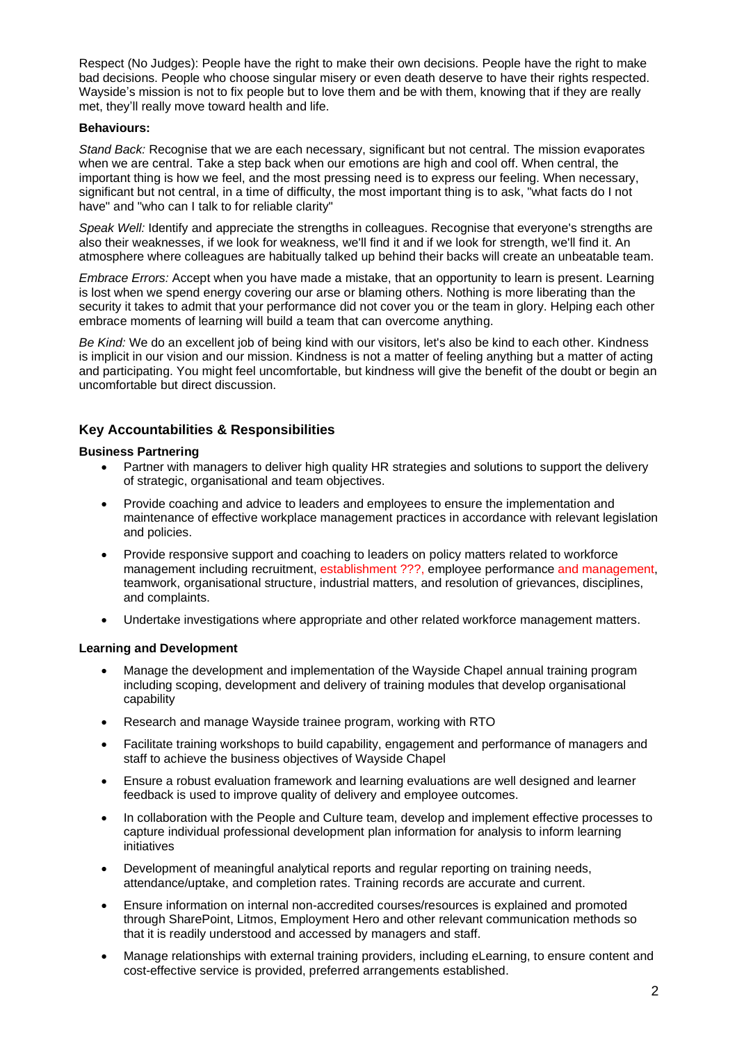Respect (No Judges): People have the right to make their own decisions. People have the right to make bad decisions. People who choose singular misery or even death deserve to have their rights respected. Wayside's mission is not to fix people but to love them and be with them, knowing that if they are really met, they'll really move toward health and life.

#### **Behaviours:**

*Stand Back:* Recognise that we are each necessary, significant but not central. The mission evaporates when we are central. Take a step back when our emotions are high and cool off. When central, the important thing is how we feel, and the most pressing need is to express our feeling. When necessary, significant but not central, in a time of difficulty, the most important thing is to ask, "what facts do I not have" and "who can I talk to for reliable clarity"

*Speak Well:* Identify and appreciate the strengths in colleagues. Recognise that everyone's strengths are also their weaknesses, if we look for weakness, we'll find it and if we look for strength, we'll find it. An atmosphere where colleagues are habitually talked up behind their backs will create an unbeatable team.

*Embrace Errors:* Accept when you have made a mistake, that an opportunity to learn is present. Learning is lost when we spend energy covering our arse or blaming others. Nothing is more liberating than the security it takes to admit that your performance did not cover you or the team in glory. Helping each other embrace moments of learning will build a team that can overcome anything.

*Be Kind:* We do an excellent job of being kind with our visitors, let's also be kind to each other. Kindness is implicit in our vision and our mission. Kindness is not a matter of feeling anything but a matter of acting and participating. You might feel uncomfortable, but kindness will give the benefit of the doubt or begin an uncomfortable but direct discussion.

# **Key Accountabilities & Responsibilities**

# **Business Partnering**

- Partner with managers to deliver high quality HR strategies and solutions to support the delivery of strategic, organisational and team objectives.
- Provide coaching and advice to leaders and employees to ensure the implementation and maintenance of effective workplace management practices in accordance with relevant legislation and policies.
- Provide responsive support and coaching to leaders on policy matters related to workforce management including recruitment, establishment ???, employee performance and management, teamwork, organisational structure, industrial matters, and resolution of grievances, disciplines, and complaints.
- Undertake investigations where appropriate and other related workforce management matters.

# **Learning and Development**

- Manage the development and implementation of the Wayside Chapel annual training program including scoping, development and delivery of training modules that develop organisational capability
- Research and manage Wayside trainee program, working with RTO
- Facilitate training workshops to build capability, engagement and performance of managers and staff to achieve the business objectives of Wayside Chapel
- Ensure a robust evaluation framework and learning evaluations are well designed and learner feedback is used to improve quality of delivery and employee outcomes.
- In collaboration with the People and Culture team, develop and implement effective processes to capture individual professional development plan information for analysis to inform learning initiatives
- Development of meaningful analytical reports and regular reporting on training needs, attendance/uptake, and completion rates. Training records are accurate and current.
- Ensure information on internal non-accredited courses/resources is explained and promoted through SharePoint, Litmos, Employment Hero and other relevant communication methods so that it is readily understood and accessed by managers and staff.
- Manage relationships with external training providers, including eLearning, to ensure content and cost-effective service is provided, preferred arrangements established.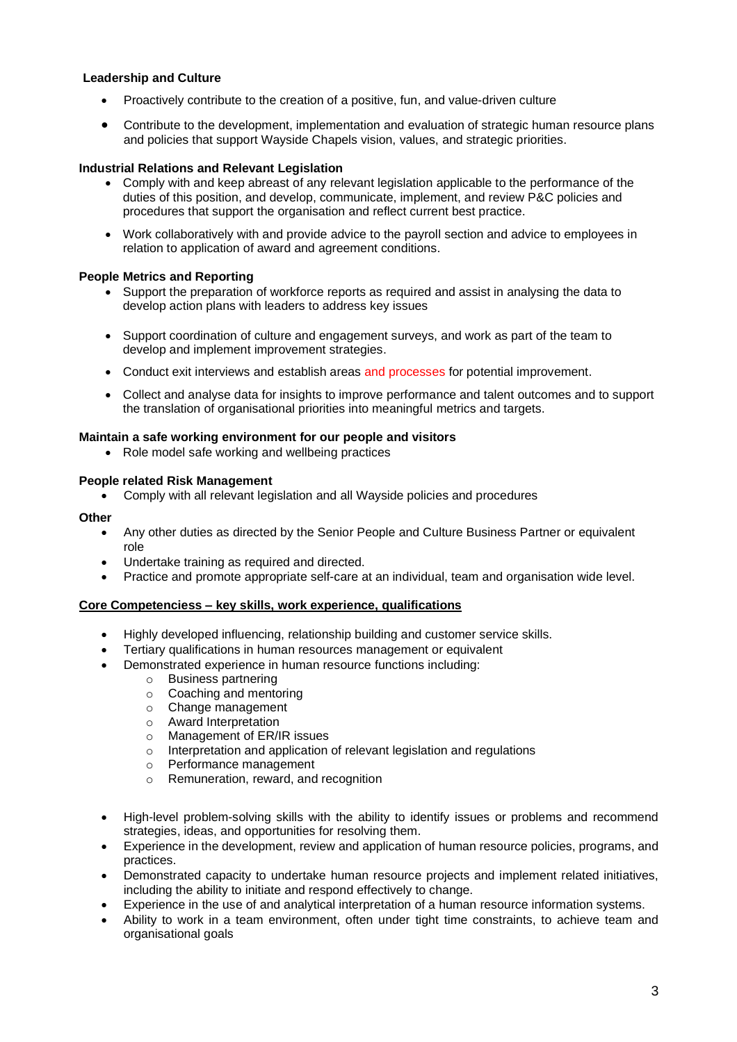# **Leadership and Culture**

- Proactively contribute to the creation of a positive, fun, and value-driven culture
- Contribute to the development, implementation and evaluation of strategic human resource plans and policies that support Wayside Chapels vision, values, and strategic priorities.

#### **Industrial Relations and Relevant Legislation**

- Comply with and keep abreast of any relevant legislation applicable to the performance of the duties of this position, and develop, communicate, implement, and review P&C policies and procedures that support the organisation and reflect current best practice.
- Work collaboratively with and provide advice to the payroll section and advice to employees in relation to application of award and agreement conditions.

#### **People Metrics and Reporting**

- Support the preparation of workforce reports as required and assist in analysing the data to develop action plans with leaders to address key issues
- Support coordination of culture and engagement surveys, and work as part of the team to develop and implement improvement strategies.
- Conduct exit interviews and establish areas and processes for potential improvement.
- Collect and analyse data for insights to improve performance and talent outcomes and to support the translation of organisational priorities into meaningful metrics and targets.

#### **Maintain a safe working environment for our people and visitors**

• Role model safe working and wellbeing practices

#### **People related Risk Management**

• Comply with all relevant legislation and all Wayside policies and procedures

#### **Other**

- Any other duties as directed by the Senior People and Culture Business Partner or equivalent role
- Undertake training as required and directed.
- Practice and promote appropriate self-care at an individual, team and organisation wide level.

#### **Core Competenciess – key skills, work experience, qualifications**

- Highly developed influencing, relationship building and customer service skills.
- Tertiary qualifications in human resources management or equivalent
- Demonstrated experience in human resource functions including:
	- o Business partnering
	- o Coaching and mentoring
	- o Change management
	- o Award Interpretation
	- o Management of ER/IR issues
	- o Interpretation and application of relevant legislation and regulations
	- o Performance management
	- o Remuneration, reward, and recognition
- High-level problem-solving skills with the ability to identify issues or problems and recommend strategies, ideas, and opportunities for resolving them.
- Experience in the development, review and application of human resource policies, programs, and practices.
- Demonstrated capacity to undertake human resource projects and implement related initiatives, including the ability to initiate and respond effectively to change.
- Experience in the use of and analytical interpretation of a human resource information systems.
- Ability to work in a team environment, often under tight time constraints, to achieve team and organisational goals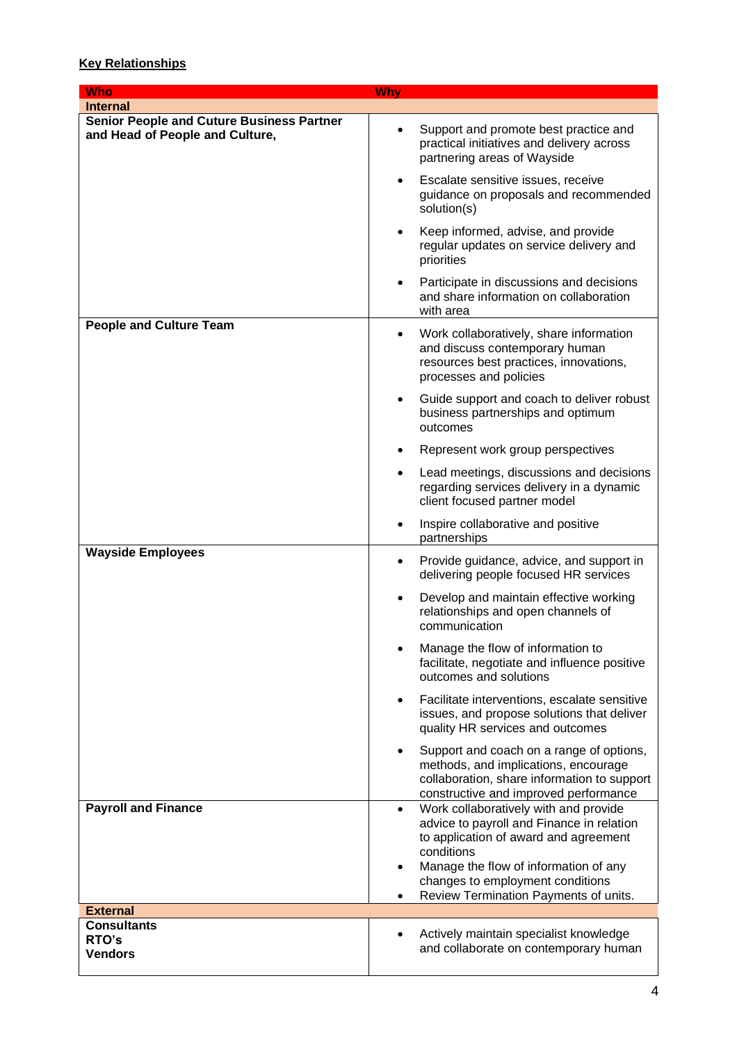# **Key Relationships**

| <b>Who</b>                                                                          | <b>Why</b>                                                                                                                                                                                                                                                                                |
|-------------------------------------------------------------------------------------|-------------------------------------------------------------------------------------------------------------------------------------------------------------------------------------------------------------------------------------------------------------------------------------------|
| <b>Internal</b>                                                                     |                                                                                                                                                                                                                                                                                           |
| <b>Senior People and Cuture Business Partner</b><br>and Head of People and Culture, | Support and promote best practice and<br>$\bullet$<br>practical initiatives and delivery across<br>partnering areas of Wayside                                                                                                                                                            |
|                                                                                     | Escalate sensitive issues, receive<br>guidance on proposals and recommended<br>solution(s)                                                                                                                                                                                                |
|                                                                                     | Keep informed, advise, and provide<br>$\bullet$<br>regular updates on service delivery and<br>priorities                                                                                                                                                                                  |
|                                                                                     | Participate in discussions and decisions<br>and share information on collaboration<br>with area                                                                                                                                                                                           |
| <b>People and Culture Team</b>                                                      | Work collaboratively, share information<br>٠<br>and discuss contemporary human<br>resources best practices, innovations,<br>processes and policies                                                                                                                                        |
|                                                                                     | Guide support and coach to deliver robust<br>business partnerships and optimum<br>outcomes                                                                                                                                                                                                |
|                                                                                     | Represent work group perspectives                                                                                                                                                                                                                                                         |
|                                                                                     | Lead meetings, discussions and decisions<br>regarding services delivery in a dynamic<br>client focused partner model                                                                                                                                                                      |
|                                                                                     | Inspire collaborative and positive<br>partnerships                                                                                                                                                                                                                                        |
| <b>Wayside Employees</b>                                                            | Provide guidance, advice, and support in<br>$\bullet$<br>delivering people focused HR services                                                                                                                                                                                            |
|                                                                                     | Develop and maintain effective working<br>$\bullet$<br>relationships and open channels of<br>communication                                                                                                                                                                                |
|                                                                                     | Manage the flow of information to<br>facilitate, negotiate and influence positive<br>outcomes and solutions                                                                                                                                                                               |
|                                                                                     | Facilitate interventions, escalate sensitive<br>$\bullet$<br>issues, and propose solutions that deliver<br>quality HR services and outcomes                                                                                                                                               |
|                                                                                     | Support and coach on a range of options,<br>methods, and implications, encourage<br>collaboration, share information to support<br>constructive and improved performance                                                                                                                  |
| <b>Payroll and Finance</b>                                                          | Work collaboratively with and provide<br>$\bullet$<br>advice to payroll and Finance in relation<br>to application of award and agreement<br>conditions<br>Manage the flow of information of any<br>$\bullet$<br>changes to employment conditions<br>Review Termination Payments of units. |
| <b>External</b>                                                                     |                                                                                                                                                                                                                                                                                           |
| <b>Consultants</b><br>RTO's<br><b>Vendors</b>                                       | Actively maintain specialist knowledge<br>and collaborate on contemporary human                                                                                                                                                                                                           |